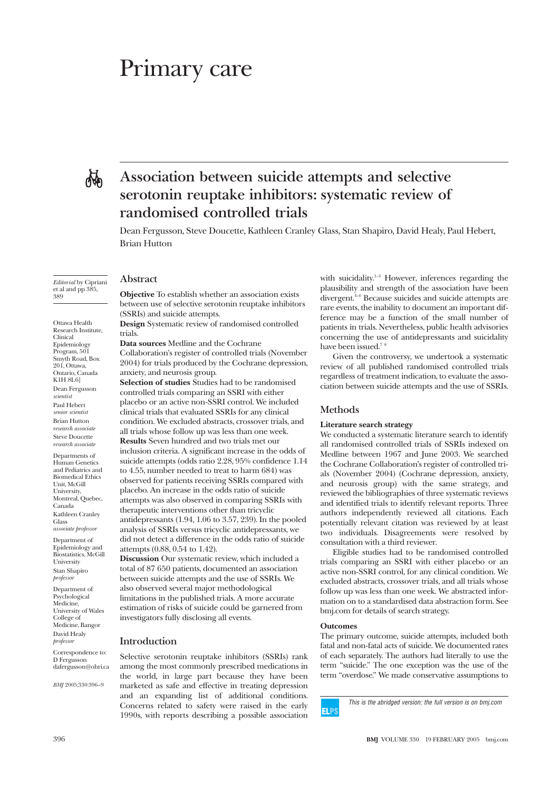# Primary care

rich

# **Association between suicide attempts and selective serotonin reuptake inhibitors: systematic review of randomised controlled trials**

Dean Fergusson, Steve Doucette, Kathleen Cranley Glass, Stan Shapiro, David Healy, Paul Hebert, Brian Hutton

*Editorial* by Cipriani et al and pp 385, 389

Ottawa Health Research Institute, Clinical Epidemiology Program, 501 Smyth Road, Box 201, Ottawa, Ontario, Canada K1H 8L6] Dean Fergusson *scientist* Paul Hebert *senior scientist* Brian Hutton *research associate* Steve Doucette *research associate*

Departments of Human Genetics and Pediatrics and Biomedical Ethics Unit, McGill University, Montreal, Quebec, Canada Kathleen Cranley Glass *associate professor*

Department of Epidemiology and Biostatistics, McGill University Stan Shapiro *professor*

Department of Psychological Medicine, University of Wales College of Medicine, Bangor David Healy *professor*

Correspondence to: D Fergusson dafergusson@ohri.ca

*BMJ* 2005;330:396–9

**Abstract**

**Objective** To establish whether an association exists between use of selective serotonin reuptake inhibitors (SSRIs) and suicide attempts.

**Design** Systematic review of randomised controlled trials.

**Data sources** Medline and the Cochrane Collaboration's register of controlled trials (November 2004) for trials produced by the Cochrane depression, anxiety, and neurosis group.

**Selection of studies** Studies had to be randomised controlled trials comparing an SSRI with either placebo or an active non-SSRI control. We included clinical trials that evaluated SSRIs for any clinical condition. We excluded abstracts, crossover trials, and all trials whose follow up was less than one week. **Results** Seven hundred and two trials met our inclusion criteria. A significant increase in the odds of suicide attempts (odds ratio 2.28, 95% confidence 1.14 to 4.55, number needed to treat to harm 684) was observed for patients receiving SSRIs compared with placebo. An increase in the odds ratio of suicide attempts was also observed in comparing SSRIs with therapeutic interventions other than tricyclic antidepressants (1.94, 1.06 to 3.57, 239). In the pooled analysis of SSRIs versus tricyclic antidepressants, we did not detect a difference in the odds ratio of suicide attempts (0.88, 0.54 to 1.42).

**Discussion** Our systematic review, which included a total of 87 650 patients, documented an association between suicide attempts and the use of SSRIs. We also observed several major methodological limitations in the published trials. A more accurate estimation of risks of suicide could be garnered from investigators fully disclosing all events.

# **Introduction**

Selective serotonin reuptake inhibitors (SSRIs) rank among the most commonly prescribed medications in the world, in large part because they have been marketed as safe and effective in treating depression and an expanding list of additional conditions. Concerns related to safety were raised in the early 1990s, with reports describing a possible association

with suicidality.<sup>1-3</sup> However, inferences regarding the plausibility and strength of the association have been divergent.4–6 Because suicides and suicide attempts are rare events, the inability to document an important difference may be a function of the small number of patients in trials. Nevertheless, public health advisories concerning the use of antidepressants and suicidality have been issued.<sup>7</sup> <sup>8</sup>

Given the controversy, we undertook a systematic review of all published randomised controlled trials regardless of treatment indication, to evaluate the association between suicide attempts and the use of SSRIs.

#### **Methods**

#### **Literature search strategy**

We conducted a systematic literature search to identify all randomised controlled trials of SSRIs indexed on Medline between 1967 and June 2003. We searched the Cochrane Collaboration's register of controlled trials (November 2004) (Cochrane depression, anxiety, and neurosis group) with the same strategy, and reviewed the bibliographies of three systematic reviews and identified trials to identify relevant reports. Three authors independently reviewed all citations. Each potentially relevant citation was reviewed by at least two individuals. Disagreements were resolved by consultation with a third reviewer.

Eligible studies had to be randomised controlled trials comparing an SSRI with either placebo or an active non-SSRI control, for any clinical condition. We excluded abstracts, crossover trials, and all trials whose follow up was less than one week. We abstracted information on to a standardised data abstraction form. See bmj.com for details of search strategy.

#### **Outcomes**

The primary outcome, suicide attempts, included both fatal and non-fatal acts of suicide. We documented rates of each separately. The authors had literally to use the term "suicide." The one exception was the use of the term "overdose." We made conservative assumptions to



This is the abridged version; the full version is on bmj.com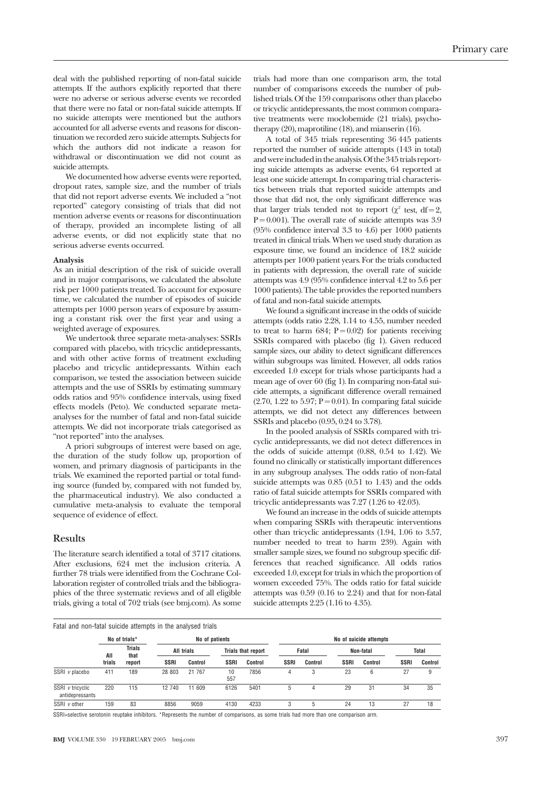deal with the published reporting of non-fatal suicide attempts. If the authors explicitly reported that there were no adverse or serious adverse events we recorded that there were no fatal or non-fatal suicide attempts. If no suicide attempts were mentioned but the authors accounted for all adverse events and reasons for discontinuation we recorded zero suicide attempts. Subjects for which the authors did not indicate a reason for withdrawal or discontinuation we did not count as suicide attempts.

We documented how adverse events were reported, dropout rates, sample size, and the number of trials that did not report adverse events. We included a "not reported" category consisting of trials that did not mention adverse events or reasons for discontinuation of therapy, provided an incomplete listing of all adverse events, or did not explicitly state that no serious adverse events occurred.

#### **Analysis**

As an initial description of the risk of suicide overall and in major comparisons, we calculated the absolute risk per 1000 patients treated. To account for exposure time, we calculated the number of episodes of suicide attempts per 1000 person years of exposure by assuming a constant risk over the first year and using a weighted average of exposures.

We undertook three separate meta-analyses: SSRIs compared with placebo, with tricyclic antidepressants, and with other active forms of treatment excluding placebo and tricyclic antidepressants. Within each comparison, we tested the association between suicide attempts and the use of SSRIs by estimating summary odds ratios and 95% confidence intervals, using fixed effects models (Peto). We conducted separate metaanalyses for the number of fatal and non-fatal suicide attempts. We did not incorporate trials categorised as "not reported" into the analyses.

A priori subgroups of interest were based on age, the duration of the study follow up, proportion of women, and primary diagnosis of participants in the trials. We examined the reported partial or total funding source (funded by, compared with not funded by, the pharmaceutical industry). We also conducted a cumulative meta-analysis to evaluate the temporal sequence of evidence of effect.

# **Results**

The literature search identified a total of 3717 citations. After exclusions, 624 met the inclusion criteria. A further 78 trials were identified from the Cochrane Collaboration register of controlled trials and the bibliographies of the three systematic reviews and of all eligible trials, giving a total of 702 trials (see bmj.com). As some trials had more than one comparison arm, the total number of comparisons exceeds the number of published trials. Of the 159 comparisons other than placebo or tricyclic antidepressants, the most common comparative treatments were moclobemide (21 trials), psychotherapy (20), maprotiline (18), and mianserin (16).

A total of 345 trials representing 36 445 patients reported the number of suicide attempts (143 in total) and were included in the analysis.Of the 345 trials reporting suicide attempts as adverse events, 64 reported at least one suicide attempt. In comparing trial characteristics between trials that reported suicide attempts and those that did not, the only significant difference was that larger trials tended not to report ( $\chi^2$  test, df = 2,  $P = 0.001$ ). The overall rate of suicide attempts was 3.9 (95% confidence interval 3.3 to 4.6) per 1000 patients treated in clinical trials. When we used study duration as exposure time, we found an incidence of 18.2 suicide attempts per 1000 patient years. For the trials conducted in patients with depression, the overall rate of suicide attempts was 4.9 (95% confidence interval 4.2 to 5.6 per 1000 patients). The table provides the reported numbers of fatal and non-fatal suicide attempts.

We found a significant increase in the odds of suicide attempts (odds ratio 2.28, 1.14 to 4.55, number needed to treat to harm  $684$ ;  $P = 0.02$ ) for patients receiving SSRIs compared with placebo (fig 1). Given reduced sample sizes, our ability to detect significant differences within subgroups was limited. However, all odds ratios exceeded 1.0 except for trials whose participants had a mean age of over 60 (fig 1). In comparing non-fatal suicide attempts, a significant difference overall remained  $(2.70, 1.22 \text{ to } 5.97; P = 0.01)$ . In comparing fatal suicide attempts, we did not detect any differences between SSRIs and placebo (0.95, 0.24 to 3.78).

In the pooled analysis of SSRIs compared with tricyclic antidepressants, we did not detect differences in the odds of suicide attempt (0.88, 0.54 to 1.42). We found no clinically or statistically important differences in any subgroup analyses. The odds ratio of non-fatal suicide attempts was 0.85 (0.51 to 1.43) and the odds ratio of fatal suicide attempts for SSRIs compared with tricyclic antidepressants was 7.27 (1.26 to 42.03).

We found an increase in the odds of suicide attempts when comparing SSRIs with therapeutic interventions other than tricyclic antidepressants (1.94, 1.06 to 3.57, number needed to treat to harm 239). Again with smaller sample sizes, we found no subgroup specific differences that reached significance. All odds ratios exceeded 1.0, except for trials in which the proportion of women exceeded 75%. The odds ratio for fatal suicide attempts was 0.59 (0.16 to 2.24) and that for non-fatal suicide attempts 2.25 (1.16 to 4.35).

|                                     | Fatal and non-fatal suicide attempts in the analysed trials |                                 |             |                |                           |         |             |         |             |                        |              |         |
|-------------------------------------|-------------------------------------------------------------|---------------------------------|-------------|----------------|---------------------------|---------|-------------|---------|-------------|------------------------|--------------|---------|
|                                     |                                                             | No of trials*                   |             | No of patients |                           |         |             |         |             | No of suicide attempts |              |         |
|                                     | All                                                         | <b>Trials</b><br>that<br>report | All trials  |                | <b>Trials that report</b> |         | Fatal       |         | Non-fatal   |                        | <b>Total</b> |         |
|                                     | trials                                                      |                                 | <b>SSRI</b> | <b>Control</b> | <b>SSRI</b>               | Control | <b>SSRI</b> | Control | <b>SSRI</b> | Control                | <b>SSRI</b>  | Control |
| SSRI v placebo                      | 411                                                         | 189                             | 28 803      | 21 7 67        | 10<br>557                 | 7856    | 4           | 3       | 23          | 6                      | 27           | 9       |
| SSRI v tricyclic<br>antidepressants | 220                                                         | 115                             | 12 740      | 11 609         | 6126                      | 5401    | 5           | 4       | 29          | 31                     | 34           | 35      |
| $SSRI$ v other                      | 159                                                         | 83                              | 8856        | 9059           | 4130                      | 4233    | 3           | 5       | 24          | 13                     | 27           | 18      |

SSRI=selective serotonin reuptake inhibitors. \*Represents the number of comparisons, as some trials had more than one comparison arm.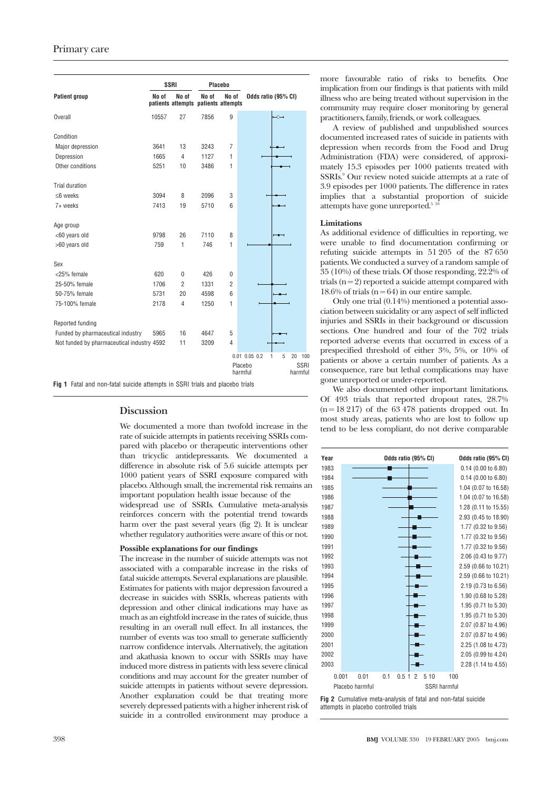|                                            |       | <b>SSRI</b>                                  |       | Placebo            |                                            |
|--------------------------------------------|-------|----------------------------------------------|-------|--------------------|--------------------------------------------|
| <b>Patient group</b>                       | No of | Nn nf<br>patients attempts patients attempts | No of | No of              | Odds ratio (95% CI)                        |
| <b>Overall</b>                             | 10557 | 27                                           | 7856  | 9                  | $\rightsquigarrow$                         |
| Condition                                  |       |                                              |       |                    |                                            |
| Major depression                           | 3641  | 13                                           | 3243  | $\overline{7}$     |                                            |
| Depression                                 | 1665  | 4                                            | 1127  | 1                  |                                            |
| Other conditions                           | 5251  | 10                                           | 3486  | 1                  |                                            |
| Trial duration                             |       |                                              |       |                    |                                            |
| $<$ 6 weeks                                | 3094  | 8                                            | 2096  | 3                  |                                            |
| 7+ weeks                                   | 7413  | 19                                           | 5710  | 6                  |                                            |
| Age group                                  |       |                                              |       |                    |                                            |
| <60 years old                              | 9798  | 26                                           | 7110  | 8                  |                                            |
| >60 years old                              | 759   | 1                                            | 746   | 1                  |                                            |
| Sex                                        |       |                                              |       |                    |                                            |
| <25% female                                | 620   | $\theta$                                     | 426   | $\theta$           |                                            |
| 25-50% female                              | 1706  | $\overline{2}$                               | 1331  | $\overline{2}$     |                                            |
| 50-75% female                              | 5731  | 20                                           | 4598  | 6                  |                                            |
| 75-100% female                             | 2178  | 4                                            | 1250  | 1                  |                                            |
| Reported funding                           |       |                                              |       |                    |                                            |
| Funded by pharmaceutical industry          | 5965  | 16                                           | 4647  | 5                  |                                            |
| Not funded by pharmaceutical industry 4592 |       | 11                                           | 3209  | $\overline{4}$     |                                            |
|                                            |       |                                              |       |                    | $0.01$ $0.05$ $0.2$<br>5<br>1<br>20<br>100 |
|                                            |       |                                              |       | Placebo<br>harmful | <b>SSRI</b><br>harmful                     |

**Fig 1** Fatal and non-fatal suicide attempts in SSRI trials and placebo trials

# **Discussion**

We documented a more than twofold increase in the rate of suicide attempts in patients receiving SSRIs compared with placebo or therapeutic interventions other than tricyclic antidepressants. We documented a difference in absolute risk of 5.6 suicide attempts per 1000 patient years of SSRI exposure compared with placebo. Although small, the incremental risk remains an important population health issue because of the

widespread use of SSRIs. Cumulative meta-analysis reinforces concern with the potential trend towards harm over the past several years (fig 2). It is unclear whether regulatory authorities were aware of this or not.

#### **Possible explanations for our findings**

The increase in the number of suicide attempts was not associated with a comparable increase in the risks of fatal suicide attempts. Several explanations are plausible. Estimates for patients with major depression favoured a decrease in suicides with SSRIs, whereas patients with depression and other clinical indications may have as much as an eightfold increase in the rates of suicide, thus resulting in an overall null effect. In all instances, the number of events was too small to generate sufficiently narrow confidence intervals. Alternatively, the agitation and akathasia known to occur with SSRIs may have induced more distress in patients with less severe clinical conditions and may account for the greater number of suicide attempts in patients without severe depression. Another explanation could be that treating more severely depressed patients with a higher inherent risk of suicide in a controlled environment may produce a

A review of published and unpublished sources documented increased rates of suicide in patients with depression when records from the Food and Drug Administration (FDA) were considered, of approximately 15.3 episodes per 1000 patients treated with SSRIs.9 Our review noted suicide attempts at a rate of 3.9 episodes per 1000 patients. The difference in rates implies that a substantial proportion of suicide attempts have gone unreported. $5<sup>10</sup>$ 

#### **Limitations**

As additional evidence of difficulties in reporting, we were unable to find documentation confirming or refuting suicide attempts in 51 205 of the 87 650 patients. We conducted a survey of a random sample of 35 (10%) of these trials. Of those responding, 22.2% of trials  $(n = 2)$  reported a suicide attempt compared with 18.6% of trials ( $n = 64$ ) in our entire sample.

Only one trial (0.14%) mentioned a potential association between suicidality or any aspect of self inflicted injuries and SSRIs in their background or discussion sections. One hundred and four of the 702 trials reported adverse events that occurred in excess of a prespecified threshold of either 3%, 5%, or 10% of patients or above a certain number of patients. As a consequence, rare but lethal complications may have gone unreported or under-reported.

We also documented other important limitations. Of 493 trials that reported dropout rates, 28.7%  $(n = 18217)$  of the 63 478 patients dropped out. In most study areas, patients who are lost to follow up tend to be less compliant, do not derive comparable



**Fig 2** Cumulative meta-analysis of fatal and non-fatal suicide attempts in placebo controlled trials